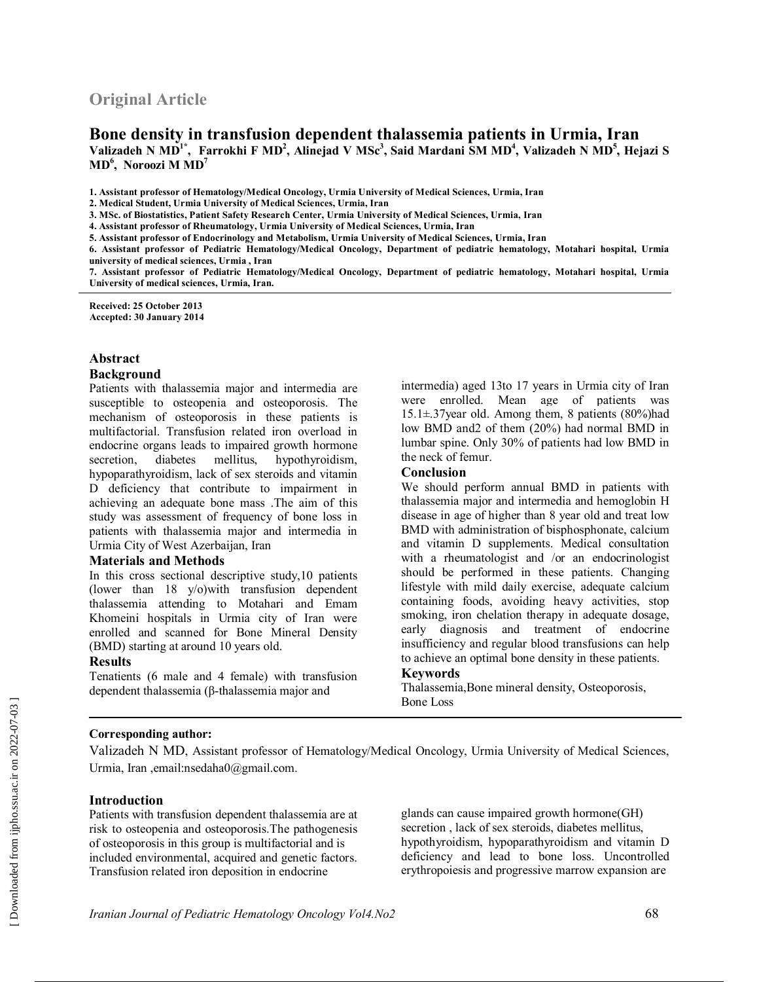# **Original Article**

# **Bone density in transfusion dependent thalassemia patients in Urmia, Iran** Valizadeh N MD<sup>1\*</sup>, Farrokhi F MD<sup>2</sup>, Alinejad V MSc<sup>3</sup>, Said Mardani SM MD<sup>4</sup>, Valizadeh N MD<sup>5</sup>, Hejazi S **MD<sup>6</sup> , Noroozi M MD<sup>7</sup>**

**1. Assistant professor of Hematology/Medical Oncology, Urmia University of Medical Sciences, Urmia, Iran** 

**3. MSc. of Biostatistics, Patient Safety Research Center, Urmia University of Medical Sciences, Urmia, Iran** 

**5. Assistant professor of Endocrinology and Metabolism, Urmia University of Medical Sciences, Urmia, Iran**

**6. Assistant professor of Pediatric Hematology/Medical Oncology, Department of pediatric hematology, Motahari hospital, Urmia university of medical sciences, Urmia , Iran** 

**7. Assistant professor of Pediatric Hematology/Medical Oncology, Department of pediatric hematology, Motahari hospital, Urmia University of medical sciences, Urmia, Iran.** 

**Received: 25 October 2013 Accepted: 30 January 2014**

#### **Abstract**

#### **Background**

Patients with thalassemia major and intermedia are susceptible to osteopenia and osteoporosis. The mechanism of osteoporosis in these patients is multifactorial. Transfusion related iron overload in endocrine organs leads to impaired growth hormone secretion, diabetes mellitus, hypothyroidism, hypoparathyroidism, lack of sex steroids and vitamin D deficiency that contribute to impairment in achieving an adequate bone mass .The aim of this study was assessment of frequency of bone loss in patients with thalassemia major and intermedia in Urmia City of West Azerbaijan, Iran

#### **Materials and Methods**

In this cross sectional descriptive study,10 patients (lower than 18 y/o)with transfusion dependent thalassemia attending to Motahari and Emam Khomeini hospitals in Urmia city of Iran were enrolled and scanned for Bone Mineral Density (BMD) starting at around 10 years old.

#### **Results**

Tenatients (6 male and 4 female) with transfusion dependent thalassemia (β-thalassemia major and

intermedia) aged 13to 17 years in Urmia city of Iran were enrolled. Mean age of patients was  $15.1 \pm .37$ year old. Among them, 8 patients (80%)had low BMD and2 of them (20%) had normal BMD in lumbar spine. Only 30% of patients had low BMD in the neck of femur.

#### **Conclusion**

We should perform annual BMD in patients with thalassemia major and intermedia and hemoglobin H disease in age of higher than 8 year old and treat low BMD with administration of bisphosphonate, calcium and vitamin D supplements. Medical consultation with a rheumatologist and /or an endocrinologist should be performed in these patients. Changing lifestyle with mild daily exercise, adequate calcium containing foods, avoiding heavy activities, stop smoking, iron chelation therapy in adequate dosage, early diagnosis and treatment of endocrine insufficiency and regular blood transfusions can help to achieve an optimal bone density in these patients.

#### **Keywords**

Thalassemia,Bone mineral density, Osteoporosis, Bone Loss

#### **Corresponding author:**

Valizadeh N MD, Assistant professor of Hematology/Medical Oncology, Urmia University of Medical Sciences, Urmia, Iran ,email:nsedaha0@gmail.com.

#### **Introduction**

Patients with transfusion dependent thalassemia are at risk to osteopenia and osteoporosis.The pathogenesis of osteoporosis in this group is multifactorial and is included environmental, acquired and genetic factors. Transfusion related iron deposition in endocrine

glands can cause impaired growth hormone(GH) secretion , lack of sex steroids, diabetes mellitus, hypothyroidism, hypoparathyroidism and vitamin D deficiency and lead to bone loss. Uncontrolled erythropoiesis and progressive marrow expansion are

**<sup>2.</sup> Medical Student, Urmia University of Medical Sciences, Urmia, Iran** 

**<sup>4.</sup> Assistant professor of Rheumatology, Urmia University of Medical Sciences, Urmia, Iran**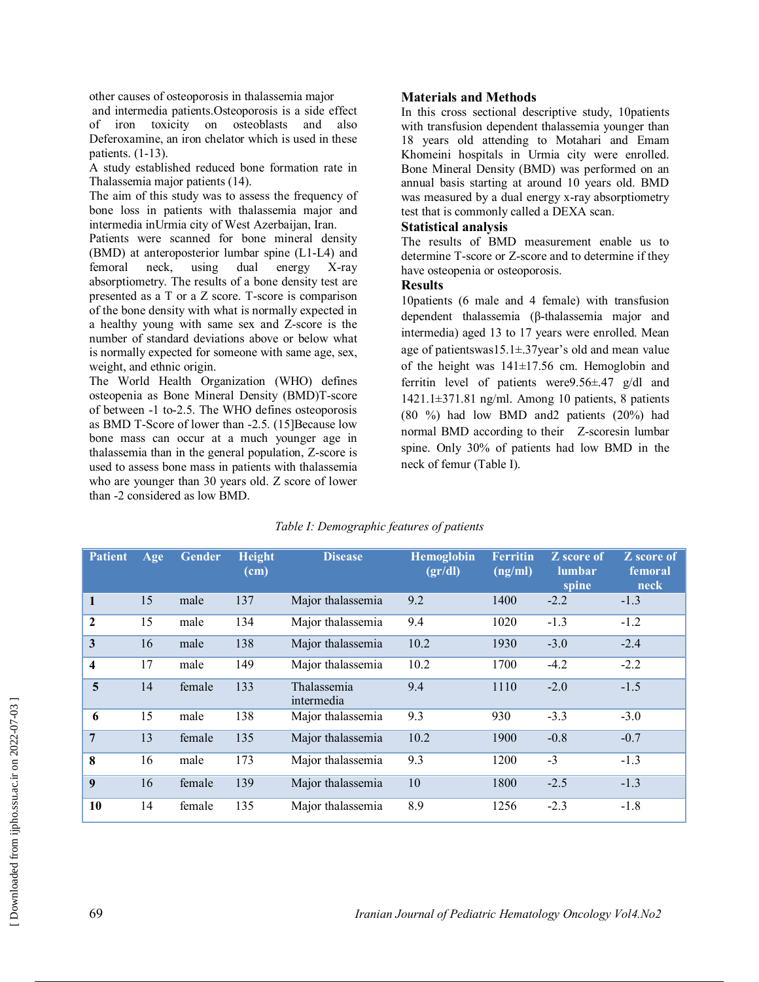other causes of osteoporosis in thalassemia major

and intermedia patients.Osteoporosis is a side effect of iron toxicity on osteoblasts and also Deferoxamine, an iron chelator which is used in these patients. (1-13).

A study established reduced bone formation rate in Thalassemia major patients (14).

The aim of this study was to assess the frequency of bone loss in patients with thalassemia major and intermedia inUrmia city of West Azerbaijan, Iran.

Patients were scanned for bone mineral density (BMD) at anteroposterior lumbar spine (L1-L4) and femoral neck, using dual energy X-ray absorptiometry. The results of a bone density test are presented as a T or a Z score. T-score is comparison of the bone density with what is normally expected in a healthy young with same sex and Z-score is the number of standard deviations above or below what is normally expected for someone with same age, sex, weight, and ethnic origin.

The World Health Organization (WHO) defines osteopenia as Bone Mineral Density (BMD)T-score of between -1 to-2.5. The WHO defines osteoporosis as BMD T-Score of lower than -2.5. (15]Because low bone mass can occur at a much younger age in thalassemia than in the general population, Z-score is used to assess bone mass in patients with thalassemia who are younger than 30 years old. Z score of lower than -2 considered as low BMD.

### **Materials and Methods**

In this cross sectional descriptive study, 10patients with transfusion dependent thalassemia younger than 18 years old attending to Motahari and Emam Khomeini hospitals in Urmia city were enrolled. Bone Mineral Density (BMD) was performed on an annual basis starting at around 10 years old. BMD was measured by a dual energy x-ray absorptiometry test that is commonly called a DEXA scan.

# **Statistical analysis**

The results of BMD measurement enable us to determine T-score or Z-score and to determine if they have osteopenia or osteoporosis.

### **Results**

10patients (6 male and 4 female) with transfusion dependent thalassemia (β-thalassemia major and intermedia) aged 13 to 17 years were enrolled. Mean age of patientswas15.1±.37year's old and mean value of the height was 141±17.56 cm. Hemoglobin and ferritin level of patients were9.56±.47 g/dl and  $1421.1\pm371.81$  ng/ml. Among 10 patients, 8 patients (80 %) had low BMD and2 patients (20%) had normal BMD according to their Z-scoresin lumbar spine. Only 30% of patients had low BMD in the neck of femur (Table I).

| <b>Patient</b>   | Age | <b>Gender</b> | <b>Height</b><br>(cm) | <b>Disease</b>            | <b>Hemoglobin</b><br>(gr/dl) | <b>Ferritin</b><br>(ng/ml) | <b>Z</b> score of<br><b>lumbar</b><br>spine | <b>Z</b> score of<br>femoral<br>neck |
|------------------|-----|---------------|-----------------------|---------------------------|------------------------------|----------------------------|---------------------------------------------|--------------------------------------|
| 1                | 15  | male          | 137                   | Major thalassemia         | 9.2                          | 1400                       | $-2.2$                                      | $-1.3$                               |
| $\mathbf{2}$     | 15  | male          | 134                   | Major thalassemia         | 9.4                          | 1020                       | $-1.3$                                      | $-1.2$                               |
| 3                | 16  | male          | 138                   | Major thalassemia         | 10.2                         | 1930                       | $-3.0$                                      | $-2.4$                               |
| 4                | 17  | male          | 149                   | Major thalassemia         | 10.2                         | 1700                       | $-4.2$                                      | $-2.2$                               |
| 5                | 14  | female        | 133                   | Thalassemia<br>intermedia | 9.4                          | 1110                       | $-2.0$                                      | $-1.5$                               |
| 6                | 15  | male          | 138                   | Major thalassemia         | 9.3                          | 930                        | $-3.3$                                      | $-3.0$                               |
| 7                | 13  | female        | 135                   | Major thalassemia         | 10.2                         | 1900                       | $-0.8$                                      | $-0.7$                               |
| 8                | 16  | male          | 173                   | Major thalassemia         | 9.3                          | 1200                       | $-3$                                        | $-1.3$                               |
| $\boldsymbol{9}$ | 16  | female        | 139                   | Major thalassemia         | 10                           | 1800                       | $-2.5$                                      | $-1.3$                               |
| 10               | 14  | female        | 135                   | Major thalassemia         | 8.9                          | 1256                       | $-2.3$                                      | $-1.8$                               |

## *Table I: Demographic features of patients*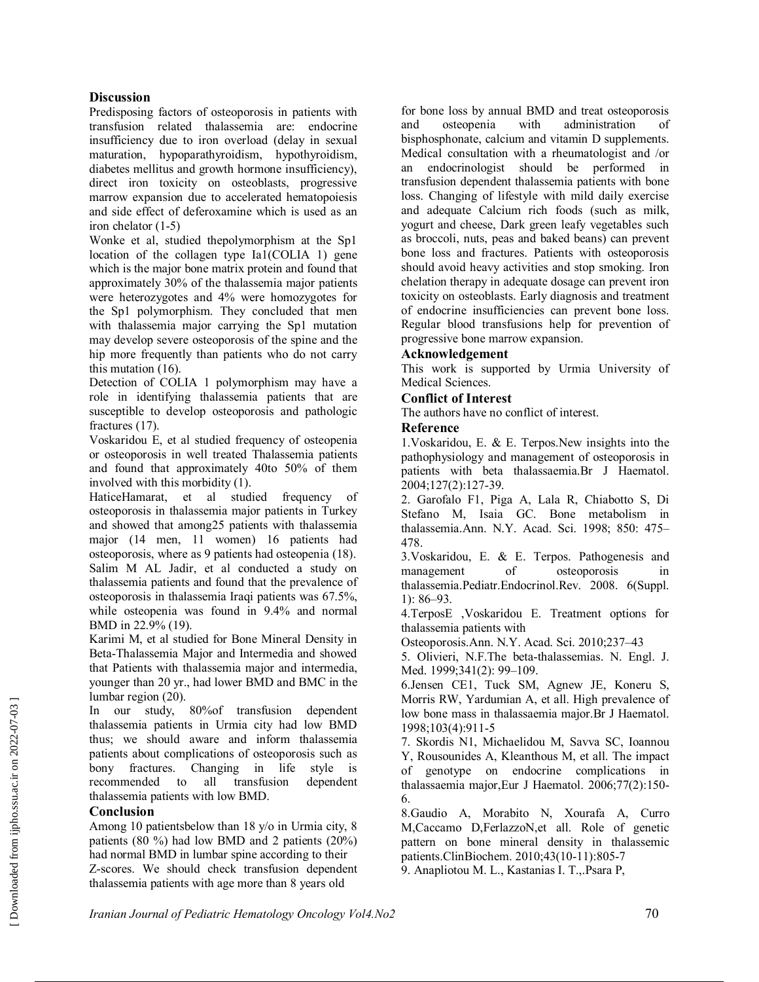### **Discussion**

Predisposing factors of osteoporosis in patients with transfusion related thalassemia are: endocrine insufficiency due to iron overload (delay in sexual maturation, hypoparathyroidism, hypothyroidism, diabetes mellitus and growth hormone insufficiency), direct iron toxicity on osteoblasts, progressive marrow expansion due to accelerated hematopoiesis and side effect of deferoxamine which is used as an iron chelator (1-5)

Wonke et al, studied thepolymorphism at the Sp1 location of the collagen type Ia1(COLIA 1) gene which is the major bone matrix protein and found that approximately 30% of the thalassemia major patients were heterozygotes and 4% were homozygotes for the Sp1 polymorphism. They concluded that men with thalassemia major carrying the Sp1 mutation may develop severe osteoporosis of the spine and the hip more frequently than patients who do not carry this mutation (16).

Detection of COLIA 1 polymorphism may have a role in identifying thalassemia patients that are susceptible to develop osteoporosis and pathologic fractures (17).

Voskaridou E, et al studied frequency of osteopenia or osteoporosis in well treated Thalassemia patients and found that approximately 40to 50% of them involved with this morbidity (1).

HaticeHamarat, et al studied frequency of osteoporosis in thalassemia major patients in Turkey and showed that among25 patients with thalassemia major (14 men, 11 women) 16 patients had osteoporosis, where as 9 patients had osteopenia (18). Salim M AL Jadir, et al conducted a study on thalassemia patients and found that the prevalence of osteoporosis in thalassemia Iraqi patients was 67.5%, while osteopenia was found in 9.4% and normal BMD in 22.9% (19).

Karimi M, et al studied for Bone Mineral Density in Beta-Thalassemia Major and Intermedia and showed that Patients with thalassemia major and intermedia, younger than 20 yr., had lower BMD and BMC in the lumbar region (20).

In our study, 80%of transfusion dependent thalassemia patients in Urmia city had low BMD thus; we should aware and inform thalassemia patients about complications of osteoporosis such as bony fractures. Changing in life style is recommended to all transfusion dependent thalassemia patients with low BMD.

### **Conclusion**

Among 10 patientsbelow than 18 y/o in Urmia city, 8 patients (80 %) had low BMD and 2 patients (20%) had normal BMD in lumbar spine according to their Z-scores. We should check transfusion dependent thalassemia patients with age more than 8 years old

for bone loss by annual BMD and treat osteoporosis and osteopenia with administration of bisphosphonate, calcium and vitamin D supplements. Medical consultation with a rheumatologist and /or an endocrinologist should be performed in transfusion dependent thalassemia patients with bone loss. Changing of lifestyle with mild daily exercise and adequate Calcium rich foods (such as milk, yogurt and cheese, Dark green leafy vegetables such as broccoli, nuts, peas and baked beans) can prevent bone loss and fractures. Patients with osteoporosis should avoid heavy activities and stop smoking. Iron chelation therapy in adequate dosage can prevent iron toxicity on osteoblasts. Early diagnosis and treatment of endocrine insufficiencies can prevent bone loss. Regular blood transfusions help for prevention of progressive bone marrow expansion.

### **Acknowledgement**

This work is supported by Urmia University of Medical Sciences.

### **Conflict of Interest**

The authors have no conflict of interest.

### **Reference**

1.Voskaridou, E. & E. Terpos.New insights into the pathophysiology and management of osteoporosis in patients with beta thalassaemia.Br J Haematol. 2004;127(2):127-39.

2. Garofalo F1, Piga A, Lala R, Chiabotto S, Di Stefano M, Isaia GC. Bone metabolism in thalassemia.Ann. N.Y. Acad. Sci. 1998; 850: 475– 478.

3.Voskaridou, E. & E. Terpos. Pathogenesis and management of osteoporosis in thalassemia.Pediatr.Endocrinol.Rev. 2008. 6(Suppl. 1): 86–93.

4.TerposE ,Voskaridou E. Treatment options for thalassemia patients with

Osteoporosis.Ann. N.Y. Acad. Sci. 2010;237–43

5. Olivieri, N.F.The beta-thalassemias. N. Engl. J. Med. 1999:341(2): 99-109.

6.Jensen CE1, Tuck SM, Agnew JE, Koneru S, Morris RW, Yardumian A, et all. High prevalence of low bone mass in thalassaemia major.Br J Haematol. 1998;103(4):911-5

7. Skordis N1, Michaelidou M, Savva SC, Ioannou Y, Rousounides A, Kleanthous M, et all. The impact of genotype on endocrine complications in thalassaemia major,Eur J Haematol. 2006;77(2):150- 6.

8.Gaudio A, Morabito N, Xourafa A, Curro M,Caccamo D,FerlazzoN,et all. Role of genetic pattern on bone mineral density in thalassemic patients.ClinBiochem. 2010;43(10-11):805-7 9. Anapliotou M. L., Kastanias I. T.,.Psara P,